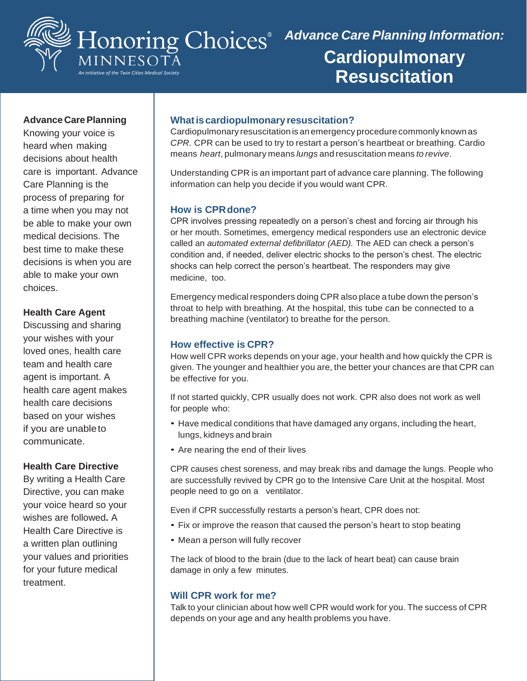

# *Advance Care Planning Information:* **Cardiopulmonary Resuscitation**

## **Advance CarePlanning**

Knowing your voice is heard when making decisions about health care is important. Advance Care Planning is the process of preparing for a time when you may not be able to make your own medical decisions. The best time to make these decisions is when you are able to make your own choices.

#### **Health Care Agent**

Discussing and sharing your wishes with your loved ones, health care team and health care agent is important. A health care agent makes health care decisions based on your wishes if you are unableto communicate.

#### **Health Care Directive**

By writing a Health Care Directive, you can make your voice heard so your wishes are followed**.** A Health Care Directive is a written plan outlining your values and priorities for your future medical treatment.

## **Whatiscardiopulmonaryresuscitation?**

Cardiopulmonary resuscitation is an emergency procedure commonly known as *CPR.* CPR can be used to try to restart a person's heartbeat or breathing. Cardio means *heart*, pulmonary means *lungs* and resuscitation means *to revive*.

Understanding CPR is an important part of advance care planning. The following information can help you decide if you would want CPR.

# **How is CPRdone?**

CPR involves pressing repeatedly on a person's chest and forcing air through his or her mouth. Sometimes, emergency medical responders use an electronic device called an *automated external defibrillator (AED).* The AED can check a person's condition and, if needed, deliver electric shocks to the person's chest. The electric shocks can help correct the person's heartbeat. The responders may give medicine, too.

Emergency medical responders doing CPR also place a tube down the person's throat to help with breathing. At the hospital, this tube can be connected to a breathing machine (ventilator) to breathe for the person.

#### **How effective is CPR?**

How well CPR works depends on your age, your health and how quickly the CPR is given. The younger and healthier you are, the better your chances are that CPR can be effective for you.

If not started quickly, CPR usually does not work. CPR also does not work as well for people who:

- Have medical conditions that have damaged any organs, including the heart, lungs, kidneys and brain
- Are nearing the end of their lives

CPR causes chest soreness, and may break ribs and damage the lungs. People who are successfully revived by CPR go to the Intensive Care Unit at the hospital. Most people need to go on a ventilator.

Even if CPR successfully restarts a person's heart, CPR does not:

- Fix or improve the reason that caused the person's heart to stop beating
- Mean a person will fully recover

The lack of blood to the brain (due to the lack of heart beat) can cause brain damage in only a few minutes.

# **Will CPR work for me?**

Talk to your clinician about how well CPR would work for you. The success of CPR depends on your age and any health problems you have.